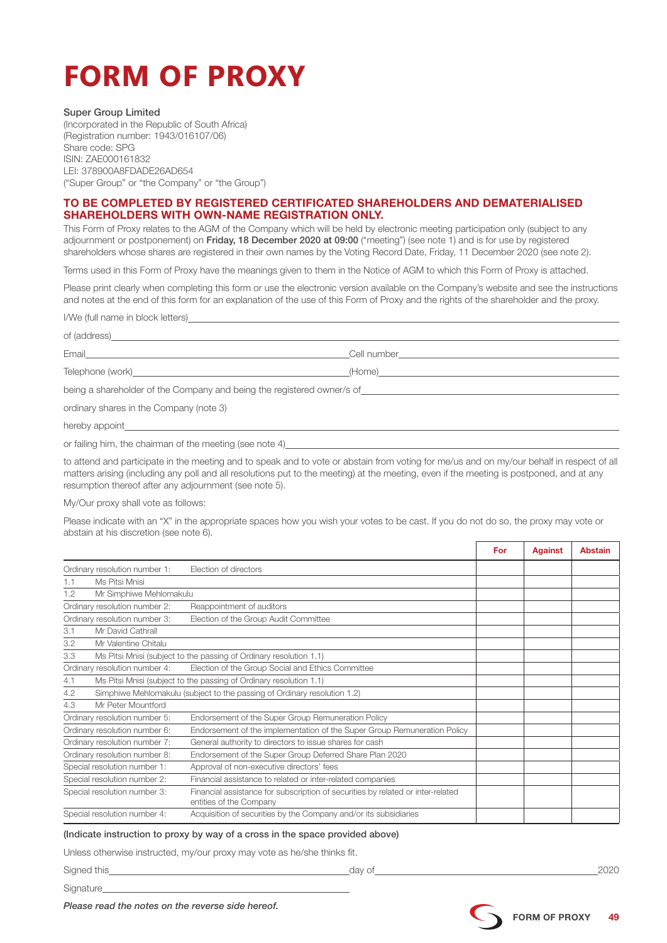# **FORM OF PROXY**

## Super Group Limited

(Incorporated in the Republic of South Africa) (Registration number: 1943/016107/06) Share code: SPG ISIN: ZAE000161832 LEI: 378900A8FDADE26AD654 ("Super Group" or "the Company" or "the Group")

# TO BE COMPLETED BY REGISTERED CERTIFICATED SHAREHOLDERS AND DEMATERIALISED SHAREHOLDERS WITH OWN-NAME REGISTRATION ONLY.

This Form of Proxy relates to the AGM of the Company which will be held by electronic meeting participation only (subject to any adjournment or postponement) on Friday, 18 December 2020 at 09:00 ("meeting") (see note 1) and is for use by registered shareholders whose shares are registered in their own names by the Voting Record Date, Friday, 11 December 2020 (see note 2).

Terms used in this Form of Proxy have the meanings given to them in the Notice of AGM to which this Form of Proxy is attached.

Please print clearly when completing this form or use the electronic version available on the Company's website and see the instructions and notes at the end of this form for an explanation of the use of this Form of Proxy and the rights of the shareholder and the proxy.

I/We (full name in block letters)

| Telephone (work) and the contract of the contract of the contract of the contract of the contract of the contract of the contract of the contract of the contract of the contract of the contract of the contract of the contr |  |  |  |
|--------------------------------------------------------------------------------------------------------------------------------------------------------------------------------------------------------------------------------|--|--|--|
| being a shareholder of the Company and being the registered owner/s of                                                                                                                                                         |  |  |  |
| ordinary shares in the Company (note 3)                                                                                                                                                                                        |  |  |  |
|                                                                                                                                                                                                                                |  |  |  |

or failing him, the chairman of the meeting (see note 4)

to attend and participate in the meeting and to speak and to vote or abstain from voting for me/us and on my/our behalf in respect of all matters arising (including any poll and all resolutions put to the meeting) at the meeting, even if the meeting is postponed, and at any resumption thereof after any adjournment (see note 5).

My/Our proxy shall vote as follows:

Please indicate with an "X" in the appropriate spaces how you wish your votes to be cast. If you do not do so, the proxy may vote or abstain at his discretion (see note 6).  $\overline{a}$ 

|                                                                           |                                                                          |                                                                                                            | For | <b>Against</b> | <b>Abstain</b> |
|---------------------------------------------------------------------------|--------------------------------------------------------------------------|------------------------------------------------------------------------------------------------------------|-----|----------------|----------------|
| Ordinary resolution number 1:<br>Election of directors                    |                                                                          |                                                                                                            |     |                |                |
| 1.1                                                                       | Ms Pitsi Mnisi                                                           |                                                                                                            |     |                |                |
| 1.2                                                                       | Mr Simphiwe Mehlomakulu                                                  |                                                                                                            |     |                |                |
|                                                                           | Ordinary resolution number 2:                                            | Reappointment of auditors                                                                                  |     |                |                |
|                                                                           | Ordinary resolution number 3:                                            | Election of the Group Audit Committee                                                                      |     |                |                |
| 3.1                                                                       | Mr David Cathrall                                                        |                                                                                                            |     |                |                |
| 3.2                                                                       | Mr Valentine Chitalu                                                     |                                                                                                            |     |                |                |
| 3.3<br>Ms Pitsi Mnisi (subject to the passing of Ordinary resolution 1.1) |                                                                          |                                                                                                            |     |                |                |
|                                                                           | Ordinary resolution number 4:                                            | Election of the Group Social and Ethics Committee                                                          |     |                |                |
| 4.1                                                                       | Ms Pitsi Mnisi (subject to the passing of Ordinary resolution 1.1)       |                                                                                                            |     |                |                |
| 4.2                                                                       | Simphiwe Mehlomakulu (subject to the passing of Ordinary resolution 1.2) |                                                                                                            |     |                |                |
| 4.3                                                                       | Mr Peter Mountford                                                       |                                                                                                            |     |                |                |
| Ordinary resolution number 5:                                             |                                                                          | Endorsement of the Super Group Remuneration Policy                                                         |     |                |                |
|                                                                           | Ordinary resolution number 6:                                            | Endorsement of the implementation of the Super Group Remuneration Policy                                   |     |                |                |
|                                                                           | Ordinary resolution number 7:                                            | General authority to directors to issue shares for cash                                                    |     |                |                |
|                                                                           | Ordinary resolution number 8:                                            | Endorsement of the Super Group Deferred Share Plan 2020                                                    |     |                |                |
|                                                                           | Special resolution number 1:                                             | Approval of non-executive directors' fees                                                                  |     |                |                |
|                                                                           | Special resolution number 2:                                             | Financial assistance to related or inter-related companies                                                 |     |                |                |
|                                                                           | Special resolution number 3:                                             | Financial assistance for subscription of securities by related or inter-related<br>entities of the Company |     |                |                |
|                                                                           | Special resolution number 4:                                             | Acquisition of securities by the Company and/or its subsidiaries                                           |     |                |                |

## (Indicate instruction to proxy by way of a cross in the space provided above)

Unless otherwise instructed, my/our proxy may vote as he/she thinks fit.

Signed this day of 2020 Signature\_

*Please read the notes on the reverse side hereof.*